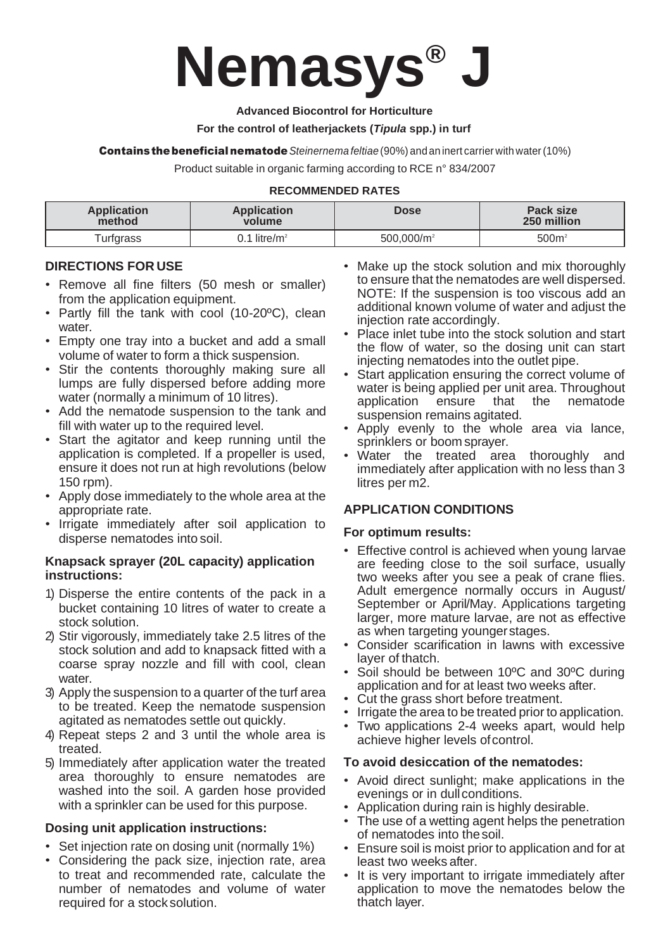

#### **Advanced Biocontrol for Horticulture**

#### **For the control of leatherjackets (***Tipula* **spp.) in turf**

**Contains the beneficial nematode** Steinernema *feltiae* (90%) and an inert carrier with water (10%)

Product suitable in organic farming according to RCE n° 834/2007

#### **RECOMMENDED RATES**

| Application      | <b>Application</b>       | Dose                   | Pack size         |
|------------------|--------------------------|------------------------|-------------------|
| method           | volume                   |                        | 250 million       |
| <b>Turfgrass</b> | 0.1 litre/m <sup>2</sup> | 500.000/m <sup>2</sup> | 500m <sup>2</sup> |

# **DIRECTIONS FOR USE**

- Remove all fine filters (50 mesh or smaller) from the application equipment.
- Partly fill the tank with cool (10-20ºC), clean water.
- Empty one tray into a bucket and add a small volume of water to form a thick suspension.
- Stir the contents thoroughly making sure all lumps are fully dispersed before adding more water (normally a minimum of 10 litres).
- Add the nematode suspension to the tank and fill with water up to the required level.
- Start the agitator and keep running until the application is completed. If a propeller is used, ensure it does not run at high revolutions (below 150 rpm).
- Apply dose immediately to the whole area at the appropriate rate.
- Irrigate immediately after soil application to disperse nematodes into soil.

### **Knapsack sprayer (20L capacity) application instructions:**

- 1) Disperse the entire contents of the pack in a bucket containing 10 litres of water to create a stock solution.
- 2) Stir vigorously, immediately take 2.5 litres of the stock solution and add to knapsack fitted with a coarse spray nozzle and fill with cool, clean water.
- 3) Apply the suspension to a quarter of the turf area to be treated. Keep the nematode suspension agitated as nematodes settle out quickly.
- 4) Repeat steps 2 and 3 until the whole area is treated.
- 5) Immediately after application water the treated area thoroughly to ensure nematodes are washed into the soil. A garden hose provided with a sprinkler can be used for this purpose.

### **Dosing unit application instructions:**

- Set injection rate on dosing unit (normally 1%)
- Considering the pack size, injection rate, area to treat and recommended rate, calculate the number of nematodes and volume of water required for a stocksolution.
- Make up the stock solution and mix thoroughly to ensure that the nematodes are well dispersed. NOTE: If the suspension is too viscous add an additional known volume of water and adjust the injection rate accordingly.
- Place inlet tube into the stock solution and start the flow of water, so the dosing unit can start injecting nematodes into the outlet pipe.
- Start application ensuring the correct volume of water is being applied per unit area. Throughout application ensure that the nematode suspension remains agitated.
- Apply evenly to the whole area via lance, sprinklers or boom sprayer.
- Water the treated area thoroughly and immediately after application with no less than 3 litres per m2.

# **APPLICATION CONDITIONS**

### **For optimum results:**

- Effective control is achieved when young larvae are feeding close to the soil surface, usually two weeks after you see a peak of crane flies. Adult emergence normally occurs in August/ September or April/May. Applications targeting larger, more mature larvae, are not as effective as when targeting youngerstages.
- Consider scarification in lawns with excessive layer of thatch.
- Soil should be between 10°C and 30°C during application and for at least two weeks after.
- Cut the grass short before treatment.
- Irrigate the area to be treated prior to application.
- Two applications 2-4 weeks apart, would help achieve higher levels of control.

### **To avoid desiccation of the nematodes:**

- Avoid direct sunlight; make applications in the evenings or in dull conditions.
- Application during rain is highly desirable.
- The use of a wetting agent helps the penetration of nematodes into thesoil.
- Ensure soil is moist prior to application and for at least two weeks after.
- It is very important to irrigate immediately after application to move the nematodes below the thatch layer.